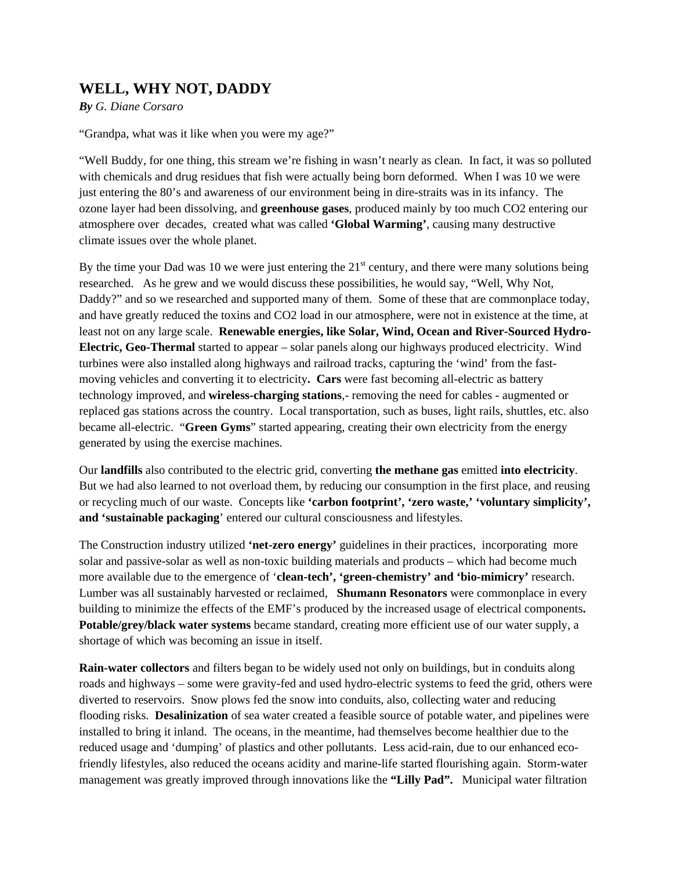## **WELL, WHY NOT, DADDY**

*By G. Diane Corsaro* 

"Grandpa, what was it like when you were my age?"

"Well Buddy, for one thing, this stream we're fishing in wasn't nearly as clean. In fact, it was so polluted with chemicals and drug residues that fish were actually being born deformed. When I was 10 we were just entering the 80's and awareness of our environment being in dire-straits was in its infancy. The ozone layer had been dissolving, and **greenhouse gases**, produced mainly by too much CO2 entering our atmosphere over decades, created what was called **'Global Warming'**, causing many destructive climate issues over the whole planet.

By the time your Dad was 10 we were just entering the  $21<sup>st</sup>$  century, and there were many solutions being researched. As he grew and we would discuss these possibilities, he would say, "Well, Why Not, Daddy?" and so we researched and supported many of them. Some of these that are commonplace today, and have greatly reduced the toxins and CO2 load in our atmosphere, were not in existence at the time, at least not on any large scale. **Renewable energies, like Solar, Wind, Ocean and River-Sourced Hydro-Electric, Geo-Thermal** started to appear – solar panels along our highways produced electricity. Wind turbines were also installed along highways and railroad tracks, capturing the 'wind' from the fastmoving vehicles and converting it to electricity**. Cars** were fast becoming all-electric as battery technology improved, and **wireless-charging stations**,- removing the need for cables - augmented or replaced gas stations across the country. Local transportation, such as buses, light rails, shuttles, etc. also became all-electric. "**Green Gyms**" started appearing, creating their own electricity from the energy generated by using the exercise machines.

Our **landfills** also contributed to the electric grid, converting **the methane gas** emitted **into electricity**. But we had also learned to not overload them, by reducing our consumption in the first place, and reusing or recycling much of our waste. Concepts like **'carbon footprint', 'zero waste,' 'voluntary simplicity', and 'sustainable packaging**' entered our cultural consciousness and lifestyles.

The Construction industry utilized **'net-zero energy'** guidelines in their practices, incorporating more solar and passive-solar as well as non-toxic building materials and products – which had become much more available due to the emergence of '**clean-tech', 'green-chemistry' and 'bio-mimicry'** research. Lumber was all sustainably harvested or reclaimed, **Shumann Resonators** were commonplace in every building to minimize the effects of the EMF's produced by the increased usage of electrical components**. Potable/grey/black water systems** became standard, creating more efficient use of our water supply, a shortage of which was becoming an issue in itself.

**Rain-water collectors** and filters began to be widely used not only on buildings, but in conduits along roads and highways – some were gravity-fed and used hydro-electric systems to feed the grid, others were diverted to reservoirs. Snow plows fed the snow into conduits, also, collecting water and reducing flooding risks. **Desalinization** of sea water created a feasible source of potable water, and pipelines were installed to bring it inland. The oceans, in the meantime, had themselves become healthier due to the reduced usage and 'dumping' of plastics and other pollutants. Less acid-rain, due to our enhanced ecofriendly lifestyles, also reduced the oceans acidity and marine-life started flourishing again. Storm-water management was greatly improved through innovations like the **"Lilly Pad".** Municipal water filtration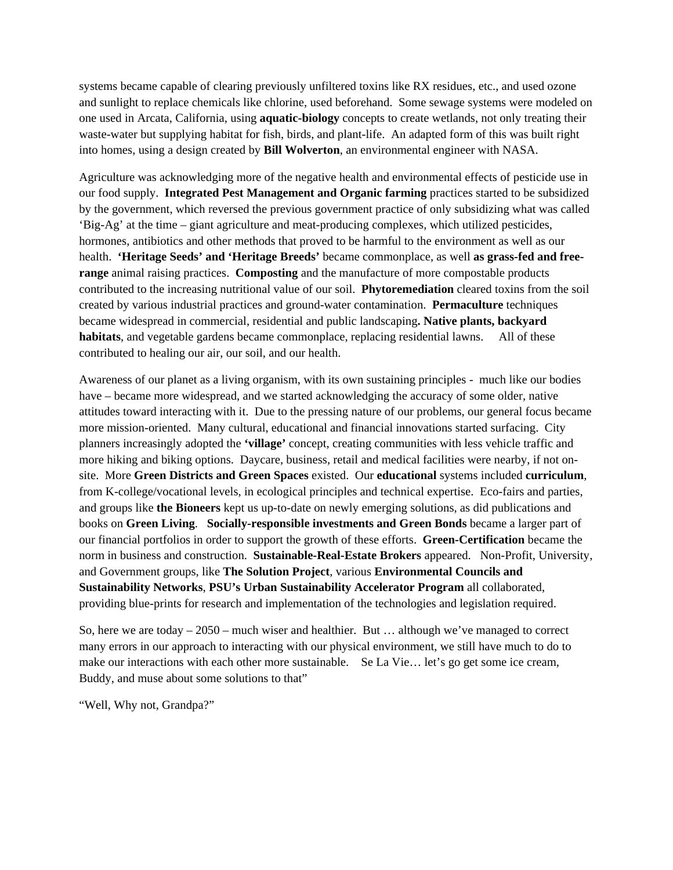systems became capable of clearing previously unfiltered toxins like RX residues, etc., and used ozone and sunlight to replace chemicals like chlorine, used beforehand. Some sewage systems were modeled on one used in Arcata, California, using **aquatic-biology** concepts to create wetlands, not only treating their waste-water but supplying habitat for fish, birds, and plant-life. An adapted form of this was built right into homes, using a design created by **Bill Wolverton**, an environmental engineer with NASA.

Agriculture was acknowledging more of the negative health and environmental effects of pesticide use in our food supply. **Integrated Pest Management and Organic farming** practices started to be subsidized by the government, which reversed the previous government practice of only subsidizing what was called 'Big-Ag' at the time – giant agriculture and meat-producing complexes, which utilized pesticides, hormones, antibiotics and other methods that proved to be harmful to the environment as well as our health. **'Heritage Seeds' and 'Heritage Breeds'** became commonplace, as well **as grass-fed and freerange** animal raising practices. **Composting** and the manufacture of more compostable products contributed to the increasing nutritional value of our soil. **Phytoremediation** cleared toxins from the soil created by various industrial practices and ground-water contamination. **Permaculture** techniques became widespread in commercial, residential and public landscaping**. Native plants, backyard habitats**, and vegetable gardens became commonplace, replacing residential lawns. All of these contributed to healing our air, our soil, and our health.

Awareness of our planet as a living organism, with its own sustaining principles - much like our bodies have – became more widespread, and we started acknowledging the accuracy of some older, native attitudes toward interacting with it. Due to the pressing nature of our problems, our general focus became more mission-oriented. Many cultural, educational and financial innovations started surfacing. City planners increasingly adopted the **'village'** concept, creating communities with less vehicle traffic and more hiking and biking options. Daycare, business, retail and medical facilities were nearby, if not onsite. More **Green Districts and Green Spaces** existed. Our **educational** systems included **curriculum**, from K-college/vocational levels, in ecological principles and technical expertise. Eco-fairs and parties, and groups like **the Bioneers** kept us up-to-date on newly emerging solutions, as did publications and books on **Green Living**. **Socially-responsible investments and Green Bonds** became a larger part of our financial portfolios in order to support the growth of these efforts. **Green-Certification** became the norm in business and construction. **Sustainable-Real-Estate Brokers** appeared. Non-Profit, University, and Government groups, like **The Solution Project**, various **Environmental Councils and Sustainability Networks**, **PSU's Urban Sustainability Accelerator Program** all collaborated, providing blue-prints for research and implementation of the technologies and legislation required.

So, here we are today – 2050 – much wiser and healthier. But … although we've managed to correct many errors in our approach to interacting with our physical environment, we still have much to do to make our interactions with each other more sustainable. Se La Vie… let's go get some ice cream, Buddy, and muse about some solutions to that"

"Well, Why not, Grandpa?"